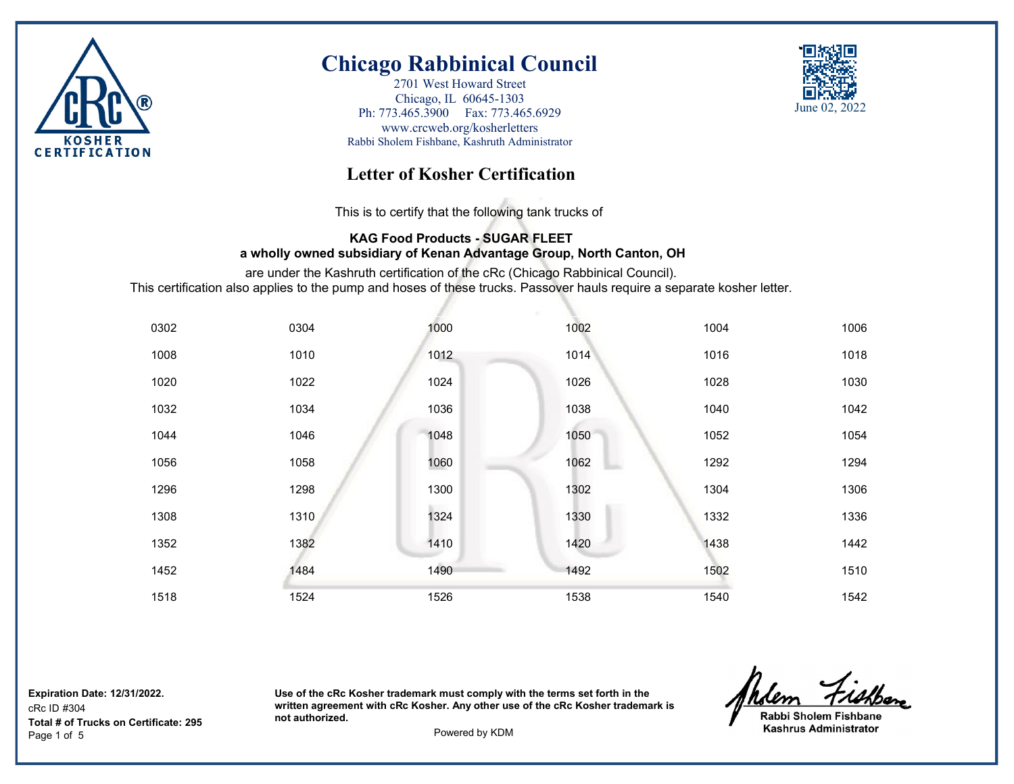

2701 West Howard Street Chicago, IL 60645-1303 Ph: 773.465.3900 Fax: 773.465.6929 www.crcweb.org/kosherletters Rabbi Sholem Fishbane, Kashruth Administrator



## **Letter of Kosher Certification**

This is to certify that the following tank trucks of

### **KAG Food Products - SUGAR FLEET a wholly owned subsidiary of Kenan Advantage Group, North Canton, OH**

are under the Kashruth certification of the cRc (Chicago Rabbinical Council). This certification also applies to the pump and hoses of these trucks. Passover hauls require a separate kosher letter.

| 0302 | 0304 | 1000 | 1002 | 1004 | 1006 |
|------|------|------|------|------|------|
| 1008 | 1010 | 1012 | 1014 | 1016 | 1018 |
| 1020 | 1022 | 1024 | 1026 | 1028 | 1030 |
| 1032 | 1034 | 1036 | 1038 | 1040 | 1042 |
| 1044 | 1046 | 1048 | 1050 | 1052 | 1054 |
| 1056 | 1058 | 1060 | 1062 | 1292 | 1294 |
| 1296 | 1298 | 1300 | 1302 | 1304 | 1306 |
| 1308 | 1310 | 1324 | 1330 | 1332 | 1336 |
| 1352 | 1382 | 1410 | 1420 | 1438 | 1442 |
| 1452 | 1484 | 1490 | 1492 | 1502 | 1510 |
| 1518 | 1524 | 1526 | 1538 | 1540 | 1542 |

**Expiration Date: 12/31/2022.**

cRc ID #304 Page 1 of 5 Powered by KDM **Total # of Trucks on Certificate: 295**

**Rabbi Sholem Fishbane Kashrus Administrator**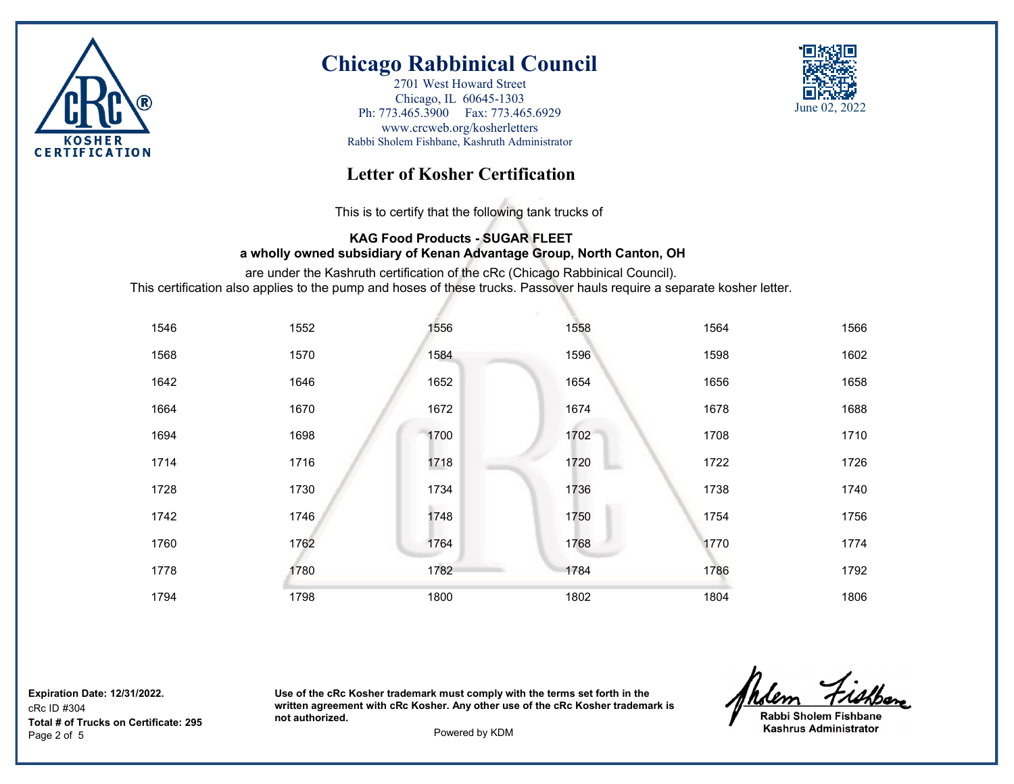

2701 West Howard Street Chicago, IL 60645-1303 Ph: 773.465.3900 Fax: 773.465.6929 www.crcweb.org/kosherletters Rabbi Sholem Fishbane, Kashruth Administrator



## **Letter of Kosher Certification**

This is to certify that the following tank trucks of

### **KAG Food Products - SUGAR FLEET a wholly owned subsidiary of Kenan Advantage Group, North Canton, OH**

are under the Kashruth certification of the cRc (Chicago Rabbinical Council). This certification also applies to the pump and hoses of these trucks. Passover hauls require a separate kosher letter.

| 1546 | 1552 | 1556 | 1558 | 1564 | 1566 |
|------|------|------|------|------|------|
| 1568 | 1570 | 1584 | 1596 | 1598 | 1602 |
| 1642 | 1646 | 1652 | 1654 | 1656 | 1658 |
| 1664 | 1670 | 1672 | 1674 | 1678 | 1688 |
| 1694 | 1698 | 1700 | 1702 | 1708 | 1710 |
| 1714 | 1716 | 1718 | 1720 | 1722 | 1726 |
| 1728 | 1730 | 1734 | 1736 | 1738 | 1740 |
| 1742 | 1746 | 1748 | 1750 | 1754 | 1756 |
| 1760 | 1762 | 1764 | 1768 | 1770 | 1774 |
| 1778 | 1780 | 1782 | 1784 | 1786 | 1792 |
| 1794 | 1798 | 1800 | 1802 | 1804 | 1806 |

**Expiration Date: 12/31/2022.**

cRc ID #304 Page 2 of 5 Powered by KDM **Total # of Trucks on Certificate: 295**

**Rabbi Sholem Fishbane Kashrus Administrator**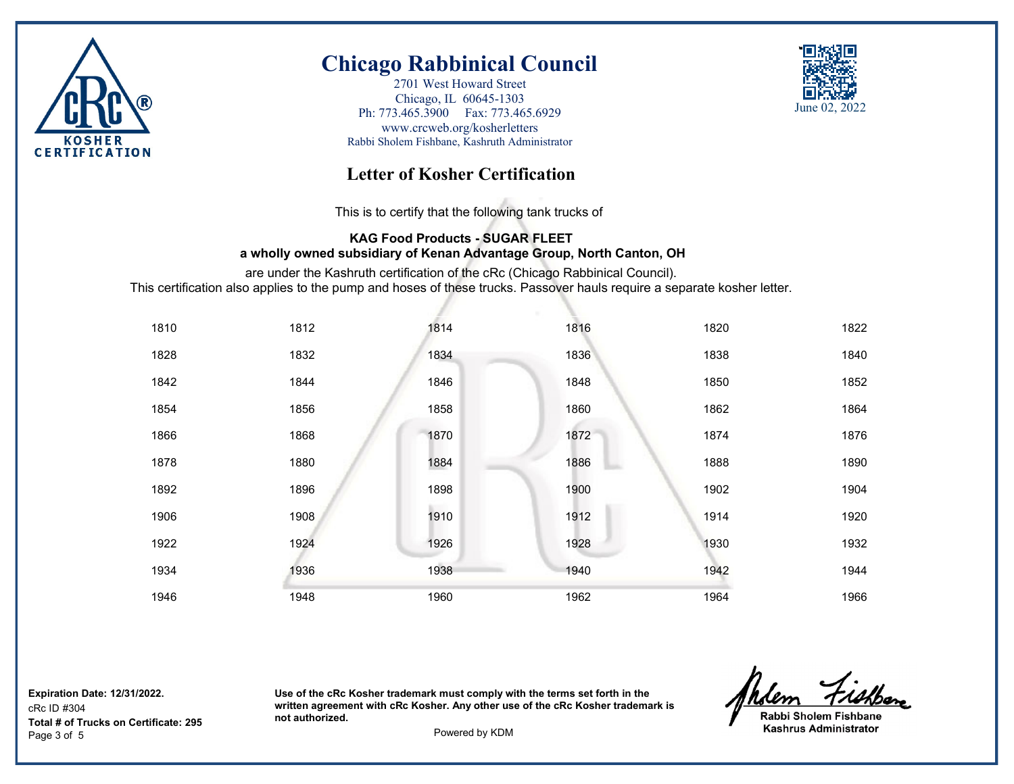

2701 West Howard Street Chicago, IL 60645-1303 Ph: 773.465.3900 Fax: 773.465.6929 www.crcweb.org/kosherletters Rabbi Sholem Fishbane, Kashruth Administrator



## **Letter of Kosher Certification**

This is to certify that the following tank trucks of

### **KAG Food Products - SUGAR FLEET a wholly owned subsidiary of Kenan Advantage Group, North Canton, OH**

are under the Kashruth certification of the cRc (Chicago Rabbinical Council). This certification also applies to the pump and hoses of these trucks. Passover hauls require a separate kosher letter.

| 1810 | 1812 | 1814 | 1816 | 1820 | 1822 |
|------|------|------|------|------|------|
| 1828 | 1832 | 1834 | 1836 | 1838 | 1840 |
| 1842 | 1844 | 1846 | 1848 | 1850 | 1852 |
| 1854 | 1856 | 1858 | 1860 | 1862 | 1864 |
| 1866 | 1868 | 1870 | 1872 | 1874 | 1876 |
| 1878 | 1880 | 1884 | 1886 | 1888 | 1890 |
| 1892 | 1896 | 1898 | 1900 | 1902 | 1904 |
| 1906 | 1908 | 1910 | 1912 | 1914 | 1920 |
| 1922 | 1924 | 1926 | 1928 | 1930 | 1932 |
| 1934 | 1936 | 1938 | 1940 | 1942 | 1944 |
| 1946 | 1948 | 1960 | 1962 | 1964 | 1966 |

**Expiration Date: 12/31/2022.**

cRc ID #304 Page 3 of 5 Powered by KDM **Total # of Trucks on Certificate: 295**

**Rabbi Sholem Fishbane Kashrus Administrator**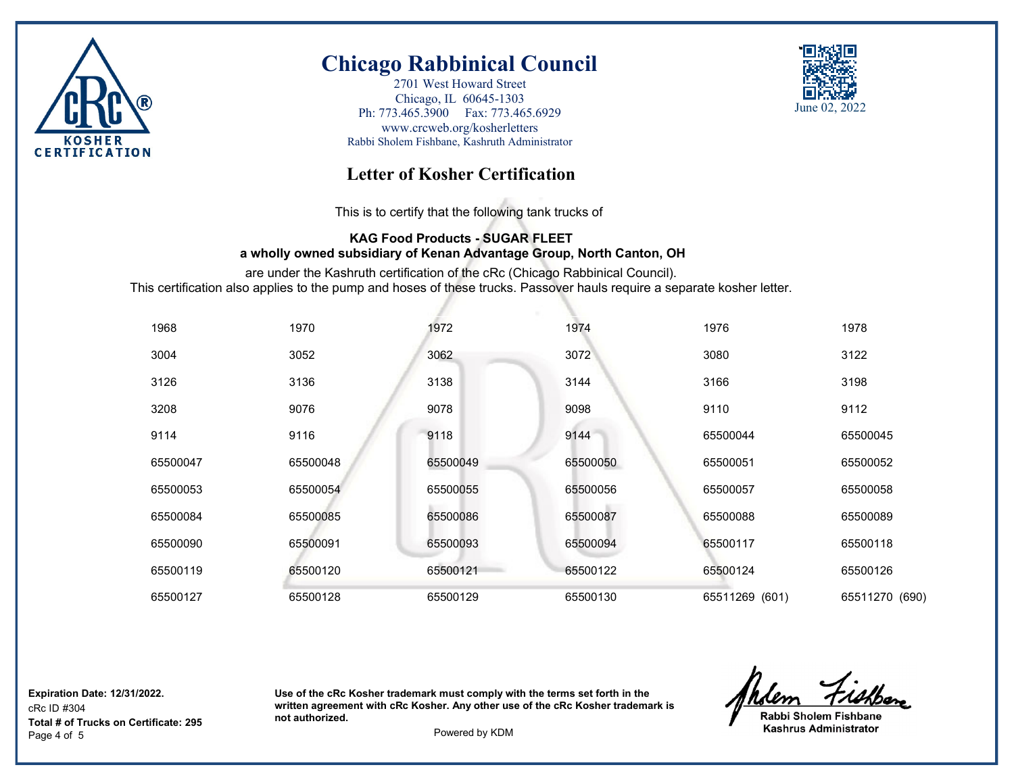

2701 West Howard Street Chicago, IL 60645-1303 Ph: 773.465.3900 Fax: 773.465.6929 www.crcweb.org/kosherletters Rabbi Sholem Fishbane, Kashruth Administrator



## **Letter of Kosher Certification**

This is to certify that the following tank trucks of

### **KAG Food Products - SUGAR FLEET a wholly owned subsidiary of Kenan Advantage Group, North Canton, OH**

are under the Kashruth certification of the cRc (Chicago Rabbinical Council). This certification also applies to the pump and hoses of these trucks. Passover hauls require a separate kosher letter.

| 1968     | 1970     | 1972     | 1974     | 1976           | 1978           |
|----------|----------|----------|----------|----------------|----------------|
| 3004     | 3052     | 3062     | 3072     | 3080           | 3122           |
| 3126     | 3136     | 3138     | 3144     | 3166           | 3198           |
| 3208     | 9076     | 9078     | 9098     | 9110           | 9112           |
| 9114     | 9116     | 9118     | 9144     | 65500044       | 65500045       |
| 65500047 | 65500048 | 65500049 | 65500050 | 65500051       | 65500052       |
| 65500053 | 65500054 | 65500055 | 65500056 | 65500057       | 65500058       |
| 65500084 | 65500085 | 65500086 | 65500087 | 65500088       | 65500089       |
| 65500090 | 65500091 | 65500093 | 65500094 | 65500117       | 65500118       |
| 65500119 | 65500120 | 65500121 | 65500122 | 65500124       | 65500126       |
| 65500127 | 65500128 | 65500129 | 65500130 | 65511269 (601) | 65511270 (690) |

**Expiration Date: 12/31/2022.**

cRc ID #304 Page 4 of 5 Powered by KDM **Total # of Trucks on Certificate: 295**

Rabbi Sholem Fishbane **Kashrus Administrator**